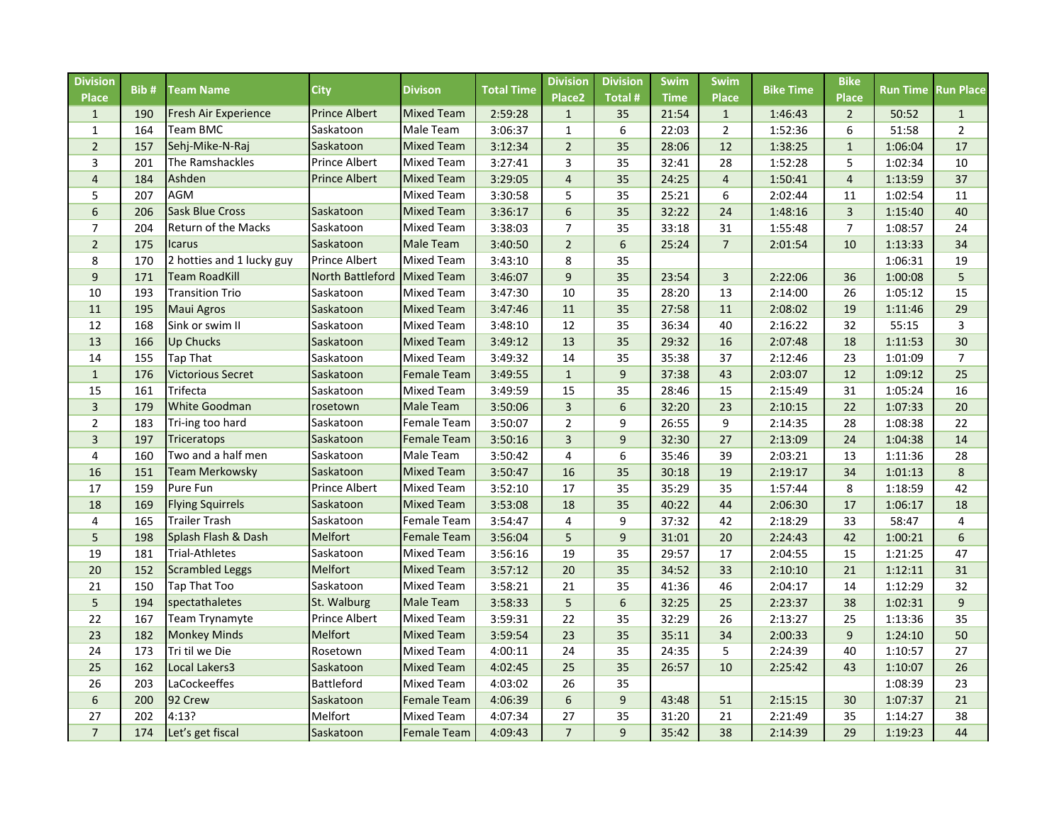| <b>Division</b><br><b>Place</b> | Bib# | <b>Team Name</b>          | <b>City</b>                 | <b>Divison</b>     | <b>Total Time</b> | <b>Division</b><br>Place <sub>2</sub> | <b>Division</b><br><b>Total#</b> | Swim<br><b>Time</b> | <b>Swim</b><br><b>Place</b> | <b>Bike Time</b> | <b>Bike</b><br><b>Place</b> | <b>Run Time Run Place</b> |                |
|---------------------------------|------|---------------------------|-----------------------------|--------------------|-------------------|---------------------------------------|----------------------------------|---------------------|-----------------------------|------------------|-----------------------------|---------------------------|----------------|
| $\mathbf{1}$                    | 190  | Fresh Air Experience      | <b>Prince Albert</b>        | <b>Mixed Team</b>  | 2:59:28           | $\mathbf{1}$                          | 35                               | 21:54               | $\mathbf{1}$                | 1:46:43          | $\overline{2}$              | 50:52                     | $\mathbf{1}$   |
| $\mathbf{1}$                    | 164  | Team BMC                  | Saskatoon                   | Male Team          | 3:06:37           | $\mathbf{1}$                          | 6                                | 22:03               | $\overline{2}$              | 1:52:36          | 6                           | 51:58                     | $\overline{2}$ |
| $\overline{2}$                  | 157  | Sehj-Mike-N-Raj           | Saskatoon                   | <b>Mixed Team</b>  | 3:12:34           | $\overline{2}$                        | 35                               | 28:06               | 12                          | 1:38:25          | $\mathbf{1}$                | 1:06:04                   | 17             |
| 3                               | 201  | The Ramshackles           | Prince Albert               | <b>Mixed Team</b>  | 3:27:41           | 3                                     | 35                               | 32:41               | 28                          | 1:52:28          | 5                           | 1:02:34                   | 10             |
| $\overline{4}$                  | 184  | Ashden                    | <b>Prince Albert</b>        | <b>Mixed Team</b>  | 3:29:05           | $\overline{4}$                        | 35                               | 24:25               | $\overline{4}$              | 1:50:41          | $\overline{4}$              | 1:13:59                   | 37             |
| 5                               | 207  | <b>AGM</b>                |                             | <b>Mixed Team</b>  | 3:30:58           | 5                                     | 35                               | 25:21               | 6                           | 2:02:44          | 11                          | 1:02:54                   | 11             |
| 6                               | 206  | <b>Sask Blue Cross</b>    | Saskatoon                   | <b>Mixed Team</b>  | 3:36:17           | 6                                     | 35                               | 32:22               | 24                          | 1:48:16          | $\overline{3}$              | 1:15:40                   | 40             |
| $\overline{7}$                  | 204  | Return of the Macks       | Saskatoon                   | <b>Mixed Team</b>  | 3:38:03           | $\overline{7}$                        | 35                               | 33:18               | 31                          | 1:55:48          | $\overline{7}$              | 1:08:57                   | 24             |
| $\overline{2}$                  | 175  | <b>Icarus</b>             | Saskatoon                   | <b>Male Team</b>   | 3:40:50           | $\overline{2}$                        | 6                                | 25:24               | $\overline{7}$              | 2:01:54          | 10                          | 1:13:33                   | 34             |
| 8                               | 170  | 2 hotties and 1 lucky guy | Prince Albert               | <b>Mixed Team</b>  | 3:43:10           | 8                                     | 35                               |                     |                             |                  |                             | 1:06:31                   | 19             |
| $\boldsymbol{9}$                | 171  | <b>Team RoadKill</b>      | North Battleford Mixed Team |                    | 3:46:07           | $\mathsf g$                           | 35                               | 23:54               | $\overline{3}$              | 2:22:06          | 36                          | 1:00:08                   | 5              |
| 10                              | 193  | <b>Transition Trio</b>    | Saskatoon                   | <b>Mixed Team</b>  | 3:47:30           | 10                                    | 35                               | 28:20               | 13                          | 2:14:00          | 26                          | 1:05:12                   | 15             |
| 11                              | 195  | <b>Maui Agros</b>         | Saskatoon                   | <b>Mixed Team</b>  | 3:47:46           | 11                                    | 35                               | 27:58               | 11                          | 2:08:02          | 19                          | 1:11:46                   | 29             |
| 12                              | 168  | Sink or swim II           | Saskatoon                   | <b>Mixed Team</b>  | 3:48:10           | 12                                    | 35                               | 36:34               | 40                          | 2:16:22          | 32                          | 55:15                     | 3              |
| 13                              | 166  | <b>Up Chucks</b>          | Saskatoon                   | <b>Mixed Team</b>  | 3:49:12           | 13                                    | 35                               | 29:32               | 16                          | 2:07:48          | 18                          | 1:11:53                   | 30             |
| 14                              | 155  | Tap That                  | Saskatoon                   | <b>Mixed Team</b>  | 3:49:32           | 14                                    | 35                               | 35:38               | 37                          | 2:12:46          | 23                          | 1:01:09                   | $\overline{7}$ |
| $\mathbf{1}$                    | 176  | <b>Victorious Secret</b>  | Saskatoon                   | <b>Female Team</b> | 3:49:55           | $\mathbf{1}$                          | 9                                | 37:38               | 43                          | 2:03:07          | 12                          | 1:09:12                   | 25             |
| 15                              | 161  | Trifecta                  | Saskatoon                   | <b>Mixed Team</b>  | 3:49:59           | 15                                    | 35                               | 28:46               | 15                          | 2:15:49          | 31                          | 1:05:24                   | 16             |
| $\overline{3}$                  | 179  | <b>White Goodman</b>      | rosetown                    | <b>Male Team</b>   | 3:50:06           | $\overline{3}$                        | 6                                | 32:20               | 23                          | 2:10:15          | 22                          | 1:07:33                   | 20             |
| $\overline{2}$                  | 183  | Tri-ing too hard          | Saskatoon                   | <b>Female Team</b> | 3:50:07           | $\overline{2}$                        | 9                                | 26:55               | 9                           | 2:14:35          | 28                          | 1:08:38                   | 22             |
| $\overline{3}$                  | 197  | <b>Triceratops</b>        | Saskatoon                   | <b>Female Team</b> | 3:50:16           | $\overline{3}$                        | 9                                | 32:30               | 27                          | 2:13:09          | 24                          | 1:04:38                   | 14             |
| $\overline{4}$                  | 160  | Two and a half men        | Saskatoon                   | Male Team          | 3:50:42           | 4                                     | 6                                | 35:46               | 39                          | 2:03:21          | 13                          | 1:11:36                   | 28             |
| 16                              | 151  | <b>Team Merkowsky</b>     | Saskatoon                   | <b>Mixed Team</b>  | 3:50:47           | 16                                    | 35                               | 30:18               | 19                          | 2:19:17          | 34                          | 1:01:13                   | 8              |
| 17                              | 159  | <b>Pure Fun</b>           | Prince Albert               | <b>Mixed Team</b>  | 3:52:10           | 17                                    | 35                               | 35:29               | 35                          | 1:57:44          | 8                           | 1:18:59                   | 42             |
| 18                              | 169  | <b>Flying Squirrels</b>   | Saskatoon                   | <b>Mixed Team</b>  | 3:53:08           | 18                                    | 35                               | 40:22               | 44                          | 2:06:30          | 17                          | 1:06:17                   | 18             |
| 4                               | 165  | Trailer Trash             | Saskatoon                   | <b>Female Team</b> | 3:54:47           | 4                                     | 9                                | 37:32               | 42                          | 2:18:29          | 33                          | 58:47                     | 4              |
| 5                               | 198  | Splash Flash & Dash       | Melfort                     | <b>Female Team</b> | 3:56:04           | 5                                     | 9                                | 31:01               | 20                          | 2:24:43          | 42                          | 1:00:21                   | $6\phantom{1}$ |
| 19                              | 181  | <b>Trial-Athletes</b>     | Saskatoon                   | <b>Mixed Team</b>  | 3:56:16           | 19                                    | 35                               | 29:57               | 17                          | 2:04:55          | 15                          | 1:21:25                   | 47             |
| 20                              | 152  | <b>Scrambled Leggs</b>    | Melfort                     | <b>Mixed Team</b>  | 3:57:12           | 20                                    | 35                               | 34:52               | 33                          | 2:10:10          | 21                          | 1:12:11                   | 31             |
| 21                              | 150  | Tap That Too              | Saskatoon                   | <b>Mixed Team</b>  | 3:58:21           | 21                                    | 35                               | 41:36               | 46                          | 2:04:17          | 14                          | 1:12:29                   | 32             |
| 5                               | 194  | spectathaletes            | St. Walburg                 | <b>Male Team</b>   | 3:58:33           | 5                                     | 6                                | 32:25               | 25                          | 2:23:37          | 38                          | 1:02:31                   | 9              |
| 22                              | 167  | Team Trynamyte            | Prince Albert               | <b>Mixed Team</b>  | 3:59:31           | 22                                    | 35                               | 32:29               | 26                          | 2:13:27          | 25                          | 1:13:36                   | 35             |
| 23                              | 182  | <b>Monkey Minds</b>       | Melfort                     | <b>Mixed Team</b>  | 3:59:54           | 23                                    | 35                               | 35:11               | 34                          | 2:00:33          | 9                           | 1:24:10                   | 50             |
| 24                              | 173  | Tri til we Die            | Rosetown                    | <b>Mixed Team</b>  | 4:00:11           | 24                                    | 35                               | 24:35               | 5                           | 2:24:39          | 40                          | 1:10:57                   | 27             |
| 25                              | 162  | Local Lakers3             | Saskatoon                   | <b>Mixed Team</b>  | 4:02:45           | 25                                    | 35                               | 26:57               | 10                          | 2:25:42          | 43                          | 1:10:07                   | 26             |
| 26                              | 203  | LaCockeeffes              | Battleford                  | <b>Mixed Team</b>  | 4:03:02           | 26                                    | 35                               |                     |                             |                  |                             | 1:08:39                   | 23             |
| $\boldsymbol{6}$                | 200  | 92 Crew                   | Saskatoon                   | <b>Female Team</b> | 4:06:39           | 6                                     | 9                                | 43:48               | 51                          | 2:15:15          | 30                          | 1:07:37                   | 21             |
| 27                              | 202  | 4:13?                     | Melfort                     | <b>Mixed Team</b>  | 4:07:34           | 27                                    | 35                               | 31:20               | 21                          | 2:21:49          | 35                          | 1:14:27                   | 38             |
| $\overline{7}$                  | 174  | Let's get fiscal          | Saskatoon                   | <b>Female Team</b> | 4:09:43           | $\overline{7}$                        | 9                                | 35:42               | 38                          | 2:14:39          | 29                          | 1:19:23                   | 44             |